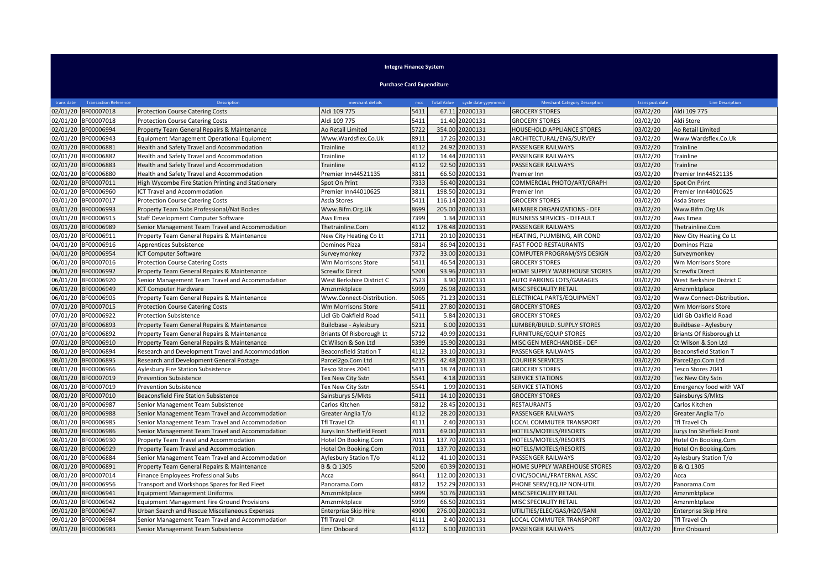## **Integra Finance System**

**Purchase Card Expenditure**

| trans date | <b>Transaction Reference</b> | <b>Description</b>                                 | merchant details              | mcc  | <b>Total Value</b><br>cycle date yyyymmdd | <b>Merchant Category Description</b> | trans post date | <b>Line Description</b>       |
|------------|------------------------------|----------------------------------------------------|-------------------------------|------|-------------------------------------------|--------------------------------------|-----------------|-------------------------------|
|            | 02/01/20 BF00007018          | <b>Protection Course Catering Costs</b>            | Aldi 109 775                  | 5411 | 67.11 20200131                            | <b>GROCERY STORES</b>                | 03/02/20        | Aldi 109 775                  |
|            | 02/01/20 BF00007018          | <b>Protection Course Catering Costs</b>            | Aldi 109 775                  | 5411 | 11.40 20200131                            | <b>GROCERY STORES</b>                | 03/02/20        | Aldi Store                    |
|            | 02/01/20 BF00006994          | Property Team General Repairs & Maintenance        | Ao Retail Limited             | 5722 | 354.00 20200131                           | HOUSEHOLD APPLIANCE STORES           | 03/02/20        | Ao Retail Limited             |
|            | 02/01/20 BF00006943          | <b>Equipment Management Operational Equipment</b>  | Www.Wardsflex.Co.Uk           | 8911 | 17.26 20200131                            | ARCHITECTURAL/ENG/SURVEY             | 03/02/20        | Www.Wardsflex.Co.Uk           |
|            | 02/01/20 BF00006881          | Health and Safety Travel and Accommodation         | Trainline                     | 4112 | 24.92 20200131                            | <b>PASSENGER RAILWAYS</b>            | 03/02/20        | Trainline                     |
|            | 02/01/20 BF00006882          | Health and Safety Travel and Accommodation         | Trainline                     | 4112 | 14.44 20200131                            | PASSENGER RAILWAYS                   | 03/02/20        | Trainline                     |
|            | 02/01/20 BF00006883          | Health and Safety Travel and Accommodation         | Trainline                     | 4112 | 92.50 20200131                            | PASSENGER RAILWAYS                   | 03/02/20        | Trainline                     |
|            | 02/01/20 BF00006880          | Health and Safety Travel and Accommodation         | Premier Inn44521135           | 3811 | 66.50 20200131                            | Premier Inn                          | 03/02/20        | Premier Inn44521135           |
|            | 02/01/20 BF00007011          | High Wycombe Fire Station Printing and Stationery  | Spot On Print                 | 7333 | 56.40 20200131                            | COMMERCIAL PHOTO/ART/GRAPH           | 03/02/20        | Spot On Print                 |
|            | 02/01/20 BF00006960          | <b>ICT Travel and Accommodation</b>                | Premier Inn44010625           | 3811 | 198.50 20200131                           | Premier Inn                          | 03/02/20        | Premier Inn44010625           |
|            | 03/01/20 BF00007017          | <b>Protection Course Catering Costs</b>            | Asda Stores                   | 5411 | 116.14 20200131                           | <b>GROCERY STORES</b>                | 03/02/20        | Asda Stores                   |
|            | 03/01/20 BF00006993          | Property Team Subs Professional/Nat Bodies         | Www.Bifm.Org.Uk               | 8699 | 205.00 20200131                           | <b>MEMBER ORGANIZATIONS - DEF</b>    | 03/02/20        | Www.Bifm.Org.Uk               |
|            | 03/01/20 BF00006915          | Staff Development Computer Software                | Aws Emea                      | 7399 | 1.34 20200131                             | <b>BUSINESS SERVICES - DEFAULT</b>   | 03/02/20        | Aws Emea                      |
|            | 03/01/20 BF00006989          | Senior Management Team Travel and Accommodation    | Thetrainline.Com              | 4112 | 178.48 20200131                           | PASSENGER RAILWAYS                   | 03/02/20        | Thetrainline.Com              |
|            | 03/01/20 BF00006911          | Property Team General Repairs & Maintenance        | New City Heating Co Lt        | 1711 | 20.10 20200131                            | HEATING, PLUMBING, AIR COND          | 03/02/20        | New City Heating Co Lt        |
|            | 04/01/20 BF00006916          | Apprentices Subsistence                            | Dominos Pizza                 | 5814 | 86.94 20200131                            | <b>FAST FOOD RESTAURANTS</b>         | 03/02/20        | Dominos Pizza                 |
|            | 04/01/20 BF00006954          | <b>ICT Computer Software</b>                       | Surveymonkey                  | 7372 | 33.00 20200131                            | COMPUTER PROGRAM/SYS DESIGN          | 03/02/20        | Surveymonkey                  |
|            | 06/01/20 BF00007016          | <b>Protection Course Catering Costs</b>            | Wm Morrisons Store            | 5411 | 46.54 20200131                            | <b>GROCERY STORES</b>                | 03/02/20        | Wm Morrisons Store            |
|            | 06/01/20 BF00006992          | Property Team General Repairs & Maintenance        | <b>Screwfix Direct</b>        | 5200 | 93.96 20200131                            | HOME SUPPLY WAREHOUSE STORES         | 03/02/20        | <b>Screwfix Direct</b>        |
|            | 06/01/20 BF00006920          | Senior Management Team Travel and Accommodation    | West Berkshire District C     | 7523 | 3.90 20200131                             | AUTO PARKING LOTS/GARAGES            | 03/02/20        | West Berkshire District C     |
|            | 06/01/20 BF00006949          | <b>ICT Computer Hardware</b>                       | Amznmktplace                  | 5999 | 26.98 20200131                            | MISC SPECIALITY RETAIL               | 03/02/20        | Amznmktplace                  |
|            | 06/01/20 BF00006905          | Property Team General Repairs & Maintenance        | Www.Connect-Distribution.     | 5065 | 71.23 20200131                            | ELECTRICAL PARTS/EQUIPMENT           | 03/02/20        | Www.Connect-Distribution.     |
|            | 07/01/20 BF00007015          | <b>Protection Course Catering Costs</b>            | Wm Morrisons Store            | 5411 | 27.80 20200131                            | <b>GROCERY STORES</b>                | 03/02/20        | Wm Morrisons Store            |
|            | 07/01/20 BF00006922          | <b>Protection Subsistence</b>                      | Lidl Gb Oakfield Road         | 5411 | 5.84 20200131                             | <b>GROCERY STORES</b>                | 03/02/20        | Lidl Gb Oakfield Road         |
|            | 07/01/20 BF00006893          | Property Team General Repairs & Maintenance        | Buildbase - Aylesbury         | 5211 | 6.00 20200131                             | LUMBER/BUILD. SUPPLY STORES          | 03/02/20        | Buildbase - Aylesbury         |
|            | 07/01/20 BF00006892          | Property Team General Repairs & Maintenance        | Briants Of Risborough Lt      | 5712 | 49.99 20200131                            | <b>FURNITURE/EQUIP STORES</b>        | 03/02/20        | Briants Of Risborough Lt      |
|            | 07/01/20 BF00006910          | Property Team General Repairs & Maintenance        | Ct Wilson & Son Ltd           | 5399 | 15.90 20200131                            | MISC GEN MERCHANDISE - DEF           | 03/02/20        | Ct Wilson & Son Ltd           |
|            | 08/01/20 BF00006894          | Research and Development Travel and Accommodation  | <b>Beaconsfield Station T</b> | 4112 | 33.10 20200131                            | PASSENGER RAILWAYS                   | 03/02/20        | <b>Beaconsfield Station T</b> |
|            | 08/01/20 BF00006895          | Research and Development General Postage           | Parcel2go.Com Ltd             | 4215 | 42.48 20200131                            | <b>COURIER SERVICES</b>              | 03/02/20        | Parcel2go.Com Ltd             |
|            | 08/01/20 BF00006966          | <b>Aylesbury Fire Station Subsistence</b>          | Tesco Stores 2041             | 5411 | 18.74 20200131                            | <b>GROCERY STORES</b>                | 03/02/20        | Tesco Stores 2041             |
|            | 08/01/20 BF00007019          | <b>Prevention Subsistence</b>                      | Tex New City Sstn             | 5541 | 4.18 20200131                             | <b>SERVICE STATIONS</b>              | 03/02/20        | Tex New City Sstn             |
|            | 08/01/20 BF00007019          | <b>Prevention Subsistence</b>                      | Tex New City Sstn             | 5541 | 1.99 20200131                             | <b>SERVICE STATIONS</b>              | 03/02/20        | Emergency food with VAT       |
|            | 08/01/20 BF00007010          | Beaconsfield Fire Station Subsistence              | Sainsburys S/Mkts             | 5411 | 14.10 20200131                            | <b>GROCERY STORES</b>                | 03/02/20        | Sainsburys S/Mkts             |
|            | 08/01/20 BF00006987          | Senior Management Team Subsistence                 | Carlos Kitchen                | 5812 | 28.45 20200131                            | <b>RESTAURANTS</b>                   | 03/02/20        | Carlos Kitchen                |
|            | 08/01/20 BF00006988          | Senior Management Team Travel and Accommodation    | Greater Anglia T/o            | 4112 | 28.20 20200131                            | PASSENGER RAILWAYS                   | 03/02/20        | Greater Anglia T/o            |
|            | 08/01/20 BF00006985          | Senior Management Team Travel and Accommodation    | <b>Tfl Travel Ch</b>          | 4111 | 2.40 20200131                             | LOCAL COMMUTER TRANSPORT             | 03/02/20        | Tfl Travel Ch                 |
|            | 08/01/20 BF00006986          | Senior Management Team Travel and Accommodation    | Jurys Inn Sheffield Front     | 7011 | 69.00 20200131                            | HOTELS/MOTELS/RESORTS                | 03/02/20        | Jurys Inn Sheffield Front     |
|            | 08/01/20 BF00006930          | Property Team Travel and Accommodation             | Hotel On Booking.Com          | 7011 | 137.70 20200131                           | HOTELS/MOTELS/RESORTS                | 03/02/20        | Hotel On Booking.Com          |
|            | 08/01/20 BF00006929          | Property Team Travel and Accommodation             | Hotel On Booking.Com          | 7011 | 137.70 20200131                           | HOTELS/MOTELS/RESORTS                | 03/02/20        | Hotel On Booking.Com          |
|            | 08/01/20 BF00006884          | Senior Management Team Travel and Accommodation    | Aylesbury Station T/o         | 4112 | 41.10 20200131                            | PASSENGER RAILWAYS                   | 03/02/20        | Aylesbury Station T/o         |
|            | 08/01/20 BF00006891          | Property Team General Repairs & Maintenance        | B & Q 1305                    | 5200 | 60.39 20200131                            | HOME SUPPLY WAREHOUSE STORES         | 03/02/20        | B & Q 1305                    |
|            | 08/01/20 BF00007014          | Finance Employees Professional Subs                | Acca                          | 8641 | 112.00 20200131                           | CIVIC/SOCIAL/FRATERNAL ASSC          | 03/02/20        | Acca                          |
|            | 09/01/20 BF00006956          | Transport and Workshops Spares for Red Fleet       | Panorama.Com                  | 4812 | 152.29 20200131                           | PHONE SERV/EQUIP NON-UTIL            | 03/02/20        | Panorama.Com                  |
|            | 09/01/20 BF00006941          | <b>Equipment Management Uniforms</b>               | Amznmktplace                  | 5999 | 50.76 20200131                            | MISC SPECIALITY RETAIL               | 03/02/20        | Amznmktplace                  |
|            | 09/01/20 BF00006942          | <b>Equipment Management Fire Ground Provisions</b> | Amznmktplace                  | 5999 | 66.50 20200131                            | MISC SPECIALITY RETAIL               | 03/02/20        | Amznmktplace                  |
|            | 09/01/20 BF00006947          | Urban Search and Rescue Miscellaneous Expenses     | Enterprise Skip Hire          | 4900 | 276.00 20200131                           | UTILITIES/ELEC/GAS/H2O/SANI          | 03/02/20        | Enterprise Skip Hire          |
|            | 09/01/20 BF00006984          | Senior Management Team Travel and Accommodation    | Tfl Travel Ch                 | 4111 | 2.40 20200131                             | LOCAL COMMUTER TRANSPORT             | 03/02/20        | Tfl Travel Ch                 |
|            | 09/01/20 BF00006983          | Senior Management Team Subsistence                 | <b>Emr Onboard</b>            | 4112 | 6.00 20200131                             | PASSENGER RAILWAYS                   | 03/02/20        | Emr Onboard                   |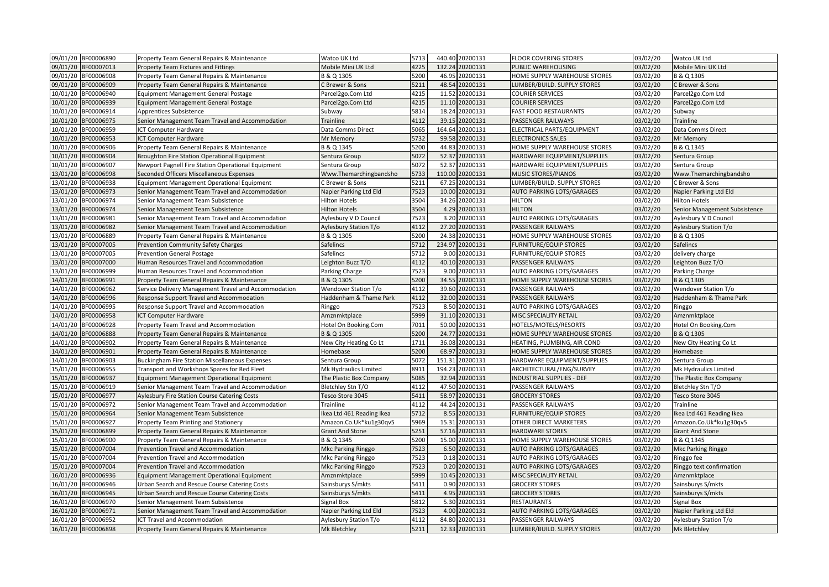| 09/01/20 BF00006890    | Property Team General Repairs & Maintenance           | Watco UK Ltd              | 5713 | 440.40 20200131     | FLOOR COVERING STORES            | 03/02/20 | Watco UK Ltd                  |
|------------------------|-------------------------------------------------------|---------------------------|------|---------------------|----------------------------------|----------|-------------------------------|
| 09/01/20 BF00007013    | Property Team Fixtures and Fittings                   | Mobile Mini UK Ltd        | 4225 | 132.24 20200131     | PUBLIC WAREHOUSING               | 03/02/20 | Mobile Mini UK Ltd            |
| 09/01/20 BF00006908    | Property Team General Repairs & Maintenance           | B & Q 1305                | 5200 | 46.95 20200131      | HOME SUPPLY WAREHOUSE STORES     | 03/02/20 | B & Q 1305                    |
| 09/01/20 BF00006909    | Property Team General Repairs & Maintenance           | <b>C</b> Brewer & Sons    | 5211 | 48.54 20200131      | LUMBER/BUILD. SUPPLY STORES      | 03/02/20 | C Brewer & Sons               |
| 10/01/20 BF00006940    | <b>Equipment Management General Postage</b>           | Parcel2go.Com Ltd         | 4215 | 11.52 20200131      | COURIER SERVICES                 | 03/02/20 | Parcel2go.Com Ltd             |
| 10/01/20 BF00006939    | Equipment Management General Postage                  | Parcel2go.Com Ltd         | 4215 | 11.10 20200131      | COURIER SERVICES                 | 03/02/20 | Parcel2go.Com Ltd             |
| 10/01/20 BF00006914    | Apprentices Subsistence                               | Subway                    | 5814 | 18.24 20200131      | <b>FAST FOOD RESTAURANTS</b>     | 03/02/20 | Subway                        |
| 10/01/20<br>BF00006975 | Senior Management Team Travel and Accommodation       | Trainline                 | 4112 | 39.15 20200131      | PASSENGER RAILWAYS               | 03/02/20 | Trainline                     |
| 10/01/20 BF00006959    | ICT Computer Hardware                                 | Data Comms Direct         | 5065 | 164.64 20200131     | ELECTRICAL PARTS/EQUIPMENT       | 03/02/20 | Data Comms Direct             |
| 10/01/20 BF00006953    | ICT Computer Hardware                                 | Mr Memory                 | 5732 | 99.58 20200131      | <b>ELECTRONICS SALES</b>         | 03/02/20 | Mr Memory                     |
| 10/01/20 BF00006906    | Property Team General Repairs & Maintenance           | B & Q 1345                | 5200 | 44.83 20200131      | HOME SUPPLY WAREHOUSE STORES     | 03/02/20 | B & Q 1345                    |
| 10/01/20 BF00006904    | Broughton Fire Station Operational Equipment          | Sentura Group             | 5072 | 52.37 20200131      | HARDWARE EQUIPMENT/SUPPLIES      | 03/02/20 | Sentura Group                 |
| 10/01/20 BF00006907    | Newport Pagnell Fire Station Operational Equipment    | Sentura Group             | 5072 | 52.37 20200131      | HARDWARE EQUIPMENT/SUPPLIES      | 03/02/20 | Sentura Group                 |
| 13/01/20 BF00006998    | Seconded Officers Miscellaneous Expenses              | Www.Themarchingbandsho    | 5733 | 110.00 20200131     | MUSIC STORES/PIANOS              | 03/02/20 | Www.Themarchingbandsho        |
| 13/01/20 BF00006938    | <b>Equipment Management Operational Equipment</b>     | C Brewer & Sons           | 5211 | 67.25 20200131      | LUMBER/BUILD. SUPPLY STORES      | 03/02/20 | C Brewer & Sons               |
| 13/01/20 BF00006973    | Senior Management Team Travel and Accommodation       | Napier Parking Ltd Eld    | 7523 | 10.00 20200131      | <b>AUTO PARKING LOTS/GARAGES</b> | 03/02/20 | Napier Parking Ltd Eld        |
| BF00006974<br>13/01/20 | Senior Management Team Subsistence                    | <b>Hilton Hotels</b>      | 3504 | 34.26 20200131      | <b>HILTON</b>                    | 03/02/20 | <b>Hilton Hotels</b>          |
| 13/01/20<br>BF00006974 | Senior Management Team Subsistence                    | <b>Hilton Hotels</b>      | 3504 | 4.29 20200131       | <b>HILTON</b>                    | 03/02/20 | Senior Management Subsistence |
| 13/01/20<br>BF00006981 | Senior Management Team Travel and Accommodation       | Aylesbury V D Council     | 7523 | 3.20 20200131       | AUTO PARKING LOTS/GARAGES        | 03/02/20 | Aylesbury V D Council         |
| 13/01/20 BF00006982    | Senior Management Team Travel and Accommodation       | Aylesbury Station T/o     | 4112 | 27.20 20200131      | PASSENGER RAILWAYS               | 03/02/20 | Aylesbury Station T/o         |
| 13/01/20<br>BF00006889 | Property Team General Repairs & Maintenance           | B & Q 1305                | 5200 | 24.38 20200131      | HOME SUPPLY WAREHOUSE STORES     | 03/02/20 | B & Q 1305                    |
| 13/01/20<br>BF00007005 | Prevention Community Safety Charges                   | Safelincs                 | 5712 | 234.97 20200131     | <b>FURNITURE/EQUIP STORES</b>    | 03/02/20 | Safelincs                     |
| 13/01/20<br>BF00007005 | <b>Prevention General Postage</b>                     | Safelincs                 | 5712 | 9.00 20200131       | FURNITURE/EQUIP STORES           | 03/02/20 | delivery charge               |
| 13/01/20 BF00007000    | Human Resources Travel and Accommodation              | Leighton Buzz T/O         | 4112 | 40.10 20200131      | PASSENGER RAILWAYS               | 03/02/20 | Leighton Buzz T/O             |
| 13/01/20 BF00006999    | Human Resources Travel and Accommodation              | Parking Charge            | 7523 | 9.00 20200131       | <b>AUTO PARKING LOTS/GARAGES</b> | 03/02/20 | Parking Charge                |
| 14/01/20<br>BF00006991 | Property Team General Repairs & Maintenance           | B & Q 1305                | 5200 | 34.55 20200131      | HOME SUPPLY WAREHOUSE STORES     | 03/02/20 | B & Q 1305                    |
| 14/01/20<br>BF00006962 | Service Delivery Management Travel and Accommodation  | Wendover Station T/o      | 4112 | 39.60 20200131      | PASSENGER RAILWAYS               | 03/02/20 | Wendover Station T/o          |
| 14/01/20 BF00006996    | Response Support Travel and Accommodation             | Haddenham & Thame Park    | 4112 | 32.00 20200131      | PASSENGER RAILWAYS               | 03/02/20 | Haddenham & Thame Park        |
| 4/01/20 BF00006995     | Response Support Travel and Accommodation             | Ringgo                    | 7523 | 8.50 20200131       | AUTO PARKING LOTS/GARAGES        | 03/02/20 | Ringgo                        |
| 14/01/20 BF00006958    | ICT Computer Hardware                                 | Amznmktplace              | 5999 | 31.10 20200131      | MISC SPECIALITY RETAIL           | 03/02/20 | Amznmktplace                  |
| 14/01/20<br>BF00006928 | Property Team Travel and Accommodation                | Hotel On Booking.Com      | 7011 | 50.00 2<br>20200131 | HOTELS/MOTELS/RESORTS            | 03/02/20 | Hotel On Booking.Com          |
| 14/01/20 BF00006888    | Property Team General Repairs & Maintenance           | B & Q 1305                | 5200 | 24.77 20200131      | HOME SUPPLY WAREHOUSE STORES     | 03/02/20 | B & Q 1305                    |
| 4/01/20 BF00006902     | Property Team General Repairs & Maintenance           | New City Heating Co Lt    | 1711 | 36.08 20200131      | HEATING, PLUMBING, AIR COND      | 03/02/20 | New City Heating Co Lt        |
| 14/01/20 BF00006901    | Property Team General Repairs & Maintenance           | Homebase                  | 5200 | 68.97 20200131      | HOME SUPPLY WAREHOUSE STORES     | 03/02/20 | Homebase                      |
| 14/01/20 BF00006903    | <b>Buckingham Fire Station Miscellaneous Expenses</b> | Sentura Group             | 5072 | 20200131<br>151.31  | HARDWARE EQUIPMENT/SUPPLIES      | 03/02/20 | Sentura Group                 |
| 15/01/20<br>BF00006955 | Transport and Workshops Spares for Red Fleet          | Mk Hydraulics Limited     | 8911 | 194.23 20200131     | ARCHITECTURAL/ENG/SURVEY         | 03/02/20 | Mk Hydraulics Limited         |
| 5/01/20<br>BF00006937  | Equipment Management Operational Equipment            | The Plastic Box Company   | 5085 | 32.94 20200131      | <b>INDUSTRIAL SUPPLIES - DEF</b> | 03/02/20 | The Plastic Box Company       |
| 15/01/20 BF00006919    | Senior Management Team Travel and Accommodation       | Bletchley Stn T/O         | 4112 | 47.50 20200131      | PASSENGER RAILWAYS               | 03/02/20 | Bletchley Stn T/O             |
| 15/01/20<br>BF00006977 | Aylesbury Fire Station Course Catering Costs          | Tesco Store 3045          | 5411 | 58.97 20200131      | <b>GROCERY STORES</b>            | 03/02/20 | Tesco Store 3045              |
| 15/01/20<br>BF00006972 | Senior Management Team Travel and Accommodation       | Trainline                 | 4112 | 44.24 20200131      | PASSENGER RAILWAYS               | 03/02/20 | Trainline                     |
| 15/01/20 BF00006964    | Senior Management Team Subsistence                    | Ikea Ltd 461 Reading Ikea | 5712 | 8.55 20200131       | FURNITURE/EQUIP STORES           | 03/02/20 | Ikea Ltd 461 Reading Ikea     |
| 15/01/20<br>BF00006927 | Property Team Printing and Stationery                 | Amazon.Co.Uk*ku1g30qv5    | 5969 | 15.31 20200131      | OTHER DIRECT MARKETERS           | 03/02/20 | Amazon.Co.Uk*ku1g30qv5        |
| 15/01/20 BF00006899    | Property Team General Repairs & Maintenance           | <b>Grant And Stone</b>    | 5251 | 57.16 20200131      | HARDWARE STORES                  | 03/02/20 | <b>Grant And Stone</b>        |
| 15/01/20 BF00006900    | Property Team General Repairs & Maintenance           | B & Q 1345                | 5200 | 15.00 20200131      | HOME SUPPLY WAREHOUSE STORES     | 03/02/20 | B & Q 1345                    |
| 15/01/20<br>BF00007004 | Prevention Travel and Accommodation                   | Mkc Parking Ringgo        | 7523 | 6.50 20200131       | <b>AUTO PARKING LOTS/GARAGES</b> | 03/02/20 | <b>Mkc Parking Ringgo</b>     |
| 15/01/20 BF00007004    | Prevention Travel and Accommodation                   | Mkc Parking Ringgo        | 7523 | 0.18 20200131       | <b>AUTO PARKING LOTS/GARAGES</b> | 03/02/20 | Ringgo fee                    |
| 15/01/20 BF00007004    | Prevention Travel and Accommodation                   | Mkc Parking Ringgo        | 7523 | 0.20 20200131       | AUTO PARKING LOTS/GARAGES        | 03/02/20 | Ringgo text confirmation      |
| 16/01/20 BF00006936    | Equipment Management Operational Equipment            | Amznmktplace              | 5999 | 10.45 20200131      | MISC SPECIALITY RETAIL           | 03/02/20 | Amznmktplace                  |
| 16/01/20 BF00006946    | Urban Search and Rescue Course Catering Costs         | Sainsburys S/mkts         | 5411 | 0.90 20200131       | <b>GROCERY STORES</b>            | 03/02/20 | Sainsburys S/mkts             |
| 16/01/20 BF00006945    | Urban Search and Rescue Course Catering Costs         | Sainsburys S/mkts         | 5411 | 4.95 20200131       | <b>GROCERY STORES</b>            | 03/02/20 | Sainsburys S/mkts             |
| 16/01/20 BF00006970    | Senior Management Team Subsistence                    | Signal Box                | 5812 | 5.30 20200131       | RESTAURANTS                      | 03/02/20 | Signal Box                    |
| 16/01/20<br>BF00006971 | Senior Management Team Travel and Accommodation       | Napier Parking Ltd Eld    | 7523 | 4.00 20200131       | <b>AUTO PARKING LOTS/GARAGES</b> | 03/02/20 | Napier Parking Ltd Eld        |
| 16/01/20 BF00006952    | ICT Travel and Accommodation                          | Aylesbury Station T/o     | 4112 | 84.80 20200131      | PASSENGER RAILWAYS               | 03/02/20 | Aylesbury Station T/o         |
| 16/01/20 BF00006898    | Property Team General Repairs & Maintenance           | Mk Bletchley              | 5211 | 12.33 20200131      | LUMBER/BUILD. SUPPLY STORES      | 03/02/20 | Mk Bletchley                  |